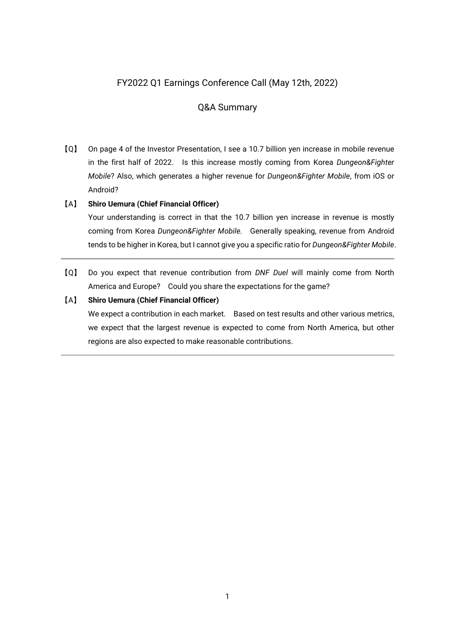# FY2022 Q1 Earnings Conference Call (May 12th, 2022)

# Q&A Summary

【Q】 On page 4 of the Investor Presentation, I see a 10.7 billion yen increase in mobile revenue in the first half of 2022. Is this increase mostly coming from Korea *Dungeon&Fighter Mobile*? Also, which generates a higher revenue for *Dungeon&Fighter Mobile*, from iOS or Android?

# 【A】 **Shiro Uemura (Chief Financial Officer)**

Your understanding is correct in that the 10.7 billion yen increase in revenue is mostly coming from Korea *Dungeon&Fighter Mobile.* Generally speaking, revenue from Android tends to be higher in Korea, but I cannot give you a specific ratio for *Dungeon&Fighter Mobile*.

【Q】 Do you expect that revenue contribution from *DNF Duel* will mainly come from North America and Europe? Could you share the expectations for the game?

# 【A】 **Shiro Uemura (Chief Financial Officer)**

We expect a contribution in each market. Based on test results and other various metrics, we expect that the largest revenue is expected to come from North America, but other regions are also expected to make reasonable contributions.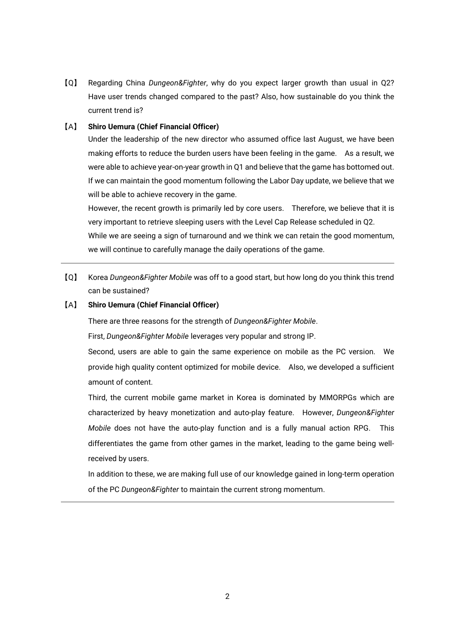【Q】 Regarding China *Dungeon&Fighter*, why do you expect larger growth than usual in Q2? Have user trends changed compared to the past? Also, how sustainable do you think the current trend is?

### 【A】 **Shiro Uemura (Chief Financial Officer)**

Under the leadership of the new director who assumed office last August, we have been making efforts to reduce the burden users have been feeling in the game. As a result, we were able to achieve year-on-year growth in Q1 and believe that the game has bottomed out. If we can maintain the good momentum following the Labor Day update, we believe that we will be able to achieve recovery in the game.

However, the recent growth is primarily led by core users. Therefore, we believe that it is very important to retrieve sleeping users with the Level Cap Release scheduled in Q2.

While we are seeing a sign of turnaround and we think we can retain the good momentum, we will continue to carefully manage the daily operations of the game.

【Q】 Korea *Dungeon&Fighter Mobile* was off to a good start, but how long do you think this trend can be sustained?

#### 【A】 **Shiro Uemura (Chief Financial Officer)**

There are three reasons for the strength of *Dungeon&Fighter Mobile*.

First, *Dungeon&Fighter Mobile* leverages very popular and strong IP.

Second, users are able to gain the same experience on mobile as the PC version. We provide high quality content optimized for mobile device. Also, we developed a sufficient amount of content.

Third, the current mobile game market in Korea is dominated by MMORPGs which are characterized by heavy monetization and auto-play feature. However, *Dungeon&Fighter Mobile* does not have the auto-play function and is a fully manual action RPG. This differentiates the game from other games in the market, leading to the game being wellreceived by users.

In addition to these, we are making full use of our knowledge gained in long-term operation of the PC *Dungeon&Fighter* to maintain the current strong momentum.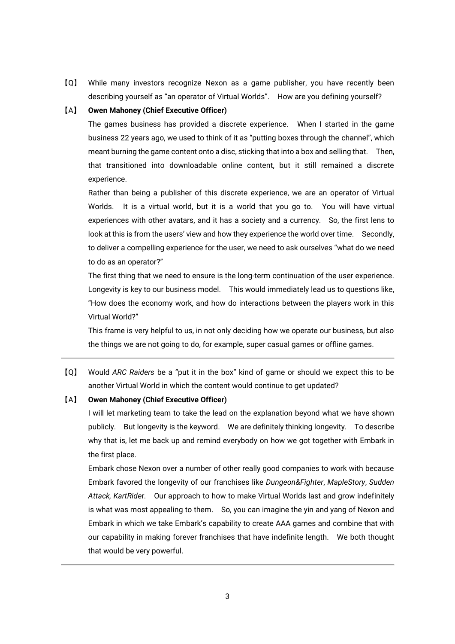【Q】 While many investors recognize Nexon as a game publisher, you have recently been describing yourself as "an operator of Virtual Worlds". How are you defining yourself?

#### 【A】 **Owen Mahoney (Chief Executive Officer)**

The games business has provided a discrete experience. When I started in the game business 22 years ago, we used to think of it as "putting boxes through the channel", which meant burning the game content onto a disc, sticking that into a box and selling that. Then, that transitioned into downloadable online content, but it still remained a discrete experience.

Rather than being a publisher of this discrete experience, we are an operator of Virtual Worlds. It is a virtual world, but it is a world that you go to. You will have virtual experiences with other avatars, and it has a society and a currency. So, the first lens to look at this is from the users' view and how they experience the world over time. Secondly, to deliver a compelling experience for the user, we need to ask ourselves "what do we need to do as an operator?"

The first thing that we need to ensure is the long-term continuation of the user experience. Longevity is key to our business model. This would immediately lead us to questions like, "How does the economy work, and how do interactions between the players work in this Virtual World?"

This frame is very helpful to us, in not only deciding how we operate our business, but also the things we are not going to do, for example, super casual games or offline games.

【Q】 Would *ARC Raiders* be a "put it in the box" kind of game or should we expect this to be another Virtual World in which the content would continue to get updated?

#### 【A】 **Owen Mahoney (Chief Executive Officer)**

I will let marketing team to take the lead on the explanation beyond what we have shown publicly. But longevity is the keyword. We are definitely thinking longevity. To describe why that is, let me back up and remind everybody on how we got together with Embark in the first place.

Embark chose Nexon over a number of other really good companies to work with because Embark favored the longevity of our franchises like *Dungeon&Fighter*, *MapleStory*, *Sudden Attack, KartRide*r*.* Our approach to how to make Virtual Worlds last and grow indefinitely is what was most appealing to them. So, you can imagine the yin and yang of Nexon and Embark in which we take Embark's capability to create AAA games and combine that with our capability in making forever franchises that have indefinite length. We both thought that would be very powerful.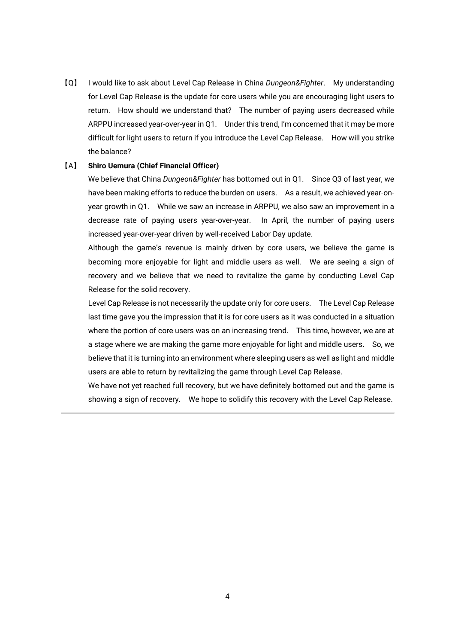【Q】 I would like to ask about Level Cap Release in China *Dungeon&Fighter*. My understanding for Level Cap Release is the update for core users while you are encouraging light users to return. How should we understand that? The number of paying users decreased while ARPPU increased year-over-year in Q1. Under this trend, I'm concerned that it may be more difficult for light users to return if you introduce the Level Cap Release. How will you strike the balance?

#### 【A】 **Shiro Uemura (Chief Financial Officer)**

We believe that China *Dungeon&Fighter* has bottomed out in Q1. Since Q3 of last year, we have been making efforts to reduce the burden on users. As a result, we achieved year-onyear growth in Q1. While we saw an increase in ARPPU, we also saw an improvement in a decrease rate of paying users year-over-year. In April, the number of paying users increased year-over-year driven by well-received Labor Day update.

Although the game's revenue is mainly driven by core users, we believe the game is becoming more enjoyable for light and middle users as well. We are seeing a sign of recovery and we believe that we need to revitalize the game by conducting Level Cap Release for the solid recovery.

Level Cap Release is not necessarily the update only for core users. The Level Cap Release last time gave you the impression that it is for core users as it was conducted in a situation where the portion of core users was on an increasing trend. This time, however, we are at a stage where we are making the game more enjoyable for light and middle users. So, we believe that it is turning into an environment where sleeping users as well as light and middle users are able to return by revitalizing the game through Level Cap Release.

We have not yet reached full recovery, but we have definitely bottomed out and the game is showing a sign of recovery. We hope to solidify this recovery with the Level Cap Release.